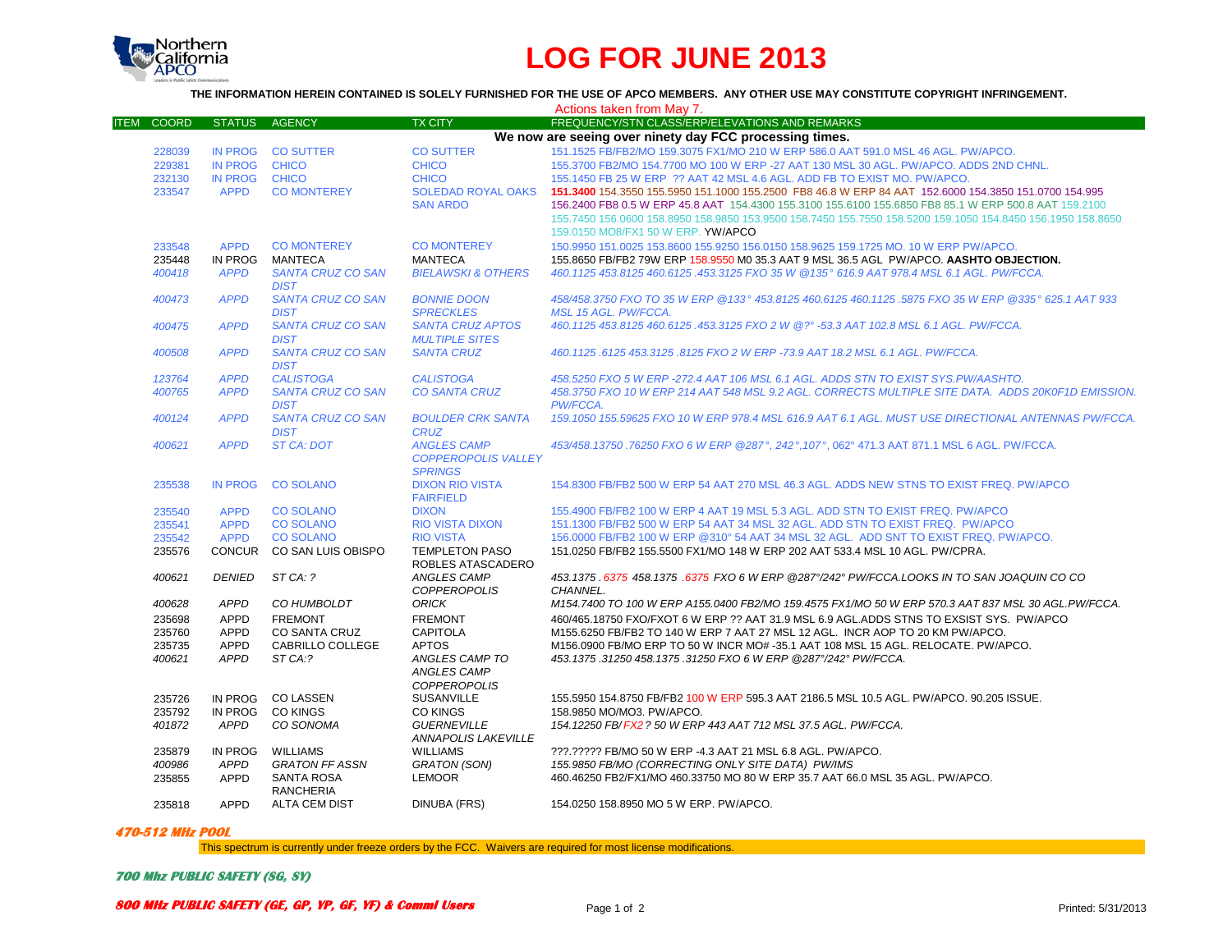

## **LOG FOR JUNE 2013**

**THE INFORMATION HEREIN CONTAINED IS SOLELY FURNISHED FOR THE USE OF APCO MEMBERS. ANY OTHER USE MAY CONSTITUTE COPYRIGHT INFRINGEMENT.**

|                   |                |                           |                               | Actions taken from May 7.                                                                                   |
|-------------------|----------------|---------------------------|-------------------------------|-------------------------------------------------------------------------------------------------------------|
| <b>ITEM COORD</b> | <b>STATUS</b>  | <b>AGENCY</b>             | <b>TX CITY</b>                | FREQUENCY/STN CLASS/ERP/ELEVATIONS AND REMARKS                                                              |
|                   |                |                           |                               | We now are seeing over ninety day FCC processing times.                                                     |
| 228039            |                | IN PROG CO SUTTER         | <b>CO SUTTER</b>              | 151.1525 FB/FB2/MO 159.3075 FX1/MO 210 W ERP 586.0 AAT 591.0 MSL 46 AGL, PW/APCO,                           |
| 229381            | IN PROG CHICO  |                           | <b>CHICO</b>                  | 155.3700 FB2/MO 154.7700 MO 100 W ERP -27 AAT 130 MSL 30 AGL, PW/APCO, ADDS 2ND CHNL.                       |
| 232130            | <b>IN PROG</b> | <b>CHICO</b>              | <b>CHICO</b>                  | 155.1450 FB 25 W ERP ?? AAT 42 MSL 4.6 AGL. ADD FB TO EXIST MO. PW/APCO.                                    |
| 233547            | <b>APPD</b>    | <b>CO MONTEREY</b>        | <b>SOLEDAD ROYAL OAKS</b>     | 151.3400 154.3550 155.5950 151.1000 155.2500 FB8 46.8 W ERP 84 AAT 152.6000 154.3850 151.0700 154.995       |
|                   |                |                           | <b>SAN ARDO</b>               |                                                                                                             |
|                   |                |                           |                               | 156.2400 FB8 0.5 W ERP 45.8 AAT 154.4300 155.3100 155.6100 155.6850 FB8 85.1 W ERP 500.8 AAT 159.2100       |
|                   |                |                           |                               | 155.7450 156.0600 158.8950 158.9850 153.9500 158.7450 155.7550 158.5200 159.1050 154.8450 156.1950 158.8650 |
|                   |                |                           |                               | 159.0150 MO8/FX1 50 W ERP. YW/APCO                                                                          |
| 233548            | <b>APPD</b>    | <b>CO MONTEREY</b>        | <b>CO MONTEREY</b>            | 150.9950 151.0025 153.8600 155.9250 156.0150 158.9625 159.1725 MO. 10 W ERP PW/APCO.                        |
| 235448            | IN PROG        | MANTECA                   | <b>MANTECA</b>                | 155.8650 FB/FB2 79W ERP 158.9550 M0 35.3 AAT 9 MSL 36.5 AGL PW/APCO. AASHTO OBJECTION.                      |
| 400418            | <b>APPD</b>    | <b>SANTA CRUZ CO SAN</b>  | <b>BIELAWSKI &amp; OTHERS</b> | 460.1125 453.8125 460.6125 .453.3125 FXO 35 W @135° 616.9 AAT 978.4 MSL 6.1 AGL. PW/FCCA.                   |
|                   |                | <b>DIST</b>               |                               |                                                                                                             |
| 400473            | <b>APPD</b>    | <b>SANTA CRUZ CO SAN</b>  | <b>BONNIE DOON</b>            | 458/458.3750 FXO TO 35 W ERP @133° 453.8125 460.6125 460.1125 .5875 FXO 35 W ERP @335° 625.1 AAT 933        |
|                   |                | <b>DIST</b>               | <b>SPRECKLES</b>              | <b>MSL 15 AGL, PW/FCCA.</b>                                                                                 |
| 400475            | <b>APPD</b>    | <b>SANTA CRUZ CO SAN</b>  | <b>SANTA CRUZ APTOS</b>       | 460.1125 453.8125 460.6125 .453.3125 FXO 2 W @?° -53.3 AAT 102.8 MSL 6.1 AGL, PW/FCCA,                      |
|                   |                | <b>DIST</b>               | <b>MULTIPLE SITES</b>         |                                                                                                             |
| 400508            | <b>APPD</b>    | <b>SANTA CRUZ CO SAN</b>  | <b>SANTA CRUZ</b>             | 460.1125.6125 453.3125.8125 FXO 2 W ERP -73.9 AAT 18.2 MSL 6.1 AGL. PW/FCCA.                                |
|                   |                | <b>DIST</b>               |                               |                                                                                                             |
| 123764            | <b>APPD</b>    | <b>CALISTOGA</b>          | <b>CALISTOGA</b>              | 458.5250 FXO 5 W ERP -272.4 AAT 106 MSL 6.1 AGL. ADDS STN TO EXIST SYS.PW/AASHTO.                           |
| 400765            | <b>APPD</b>    | <b>SANTA CRUZ CO SAN</b>  | <b>CO SANTA CRUZ</b>          | 458.3750 FXO 10 W ERP 214 AAT 548 MSL 9.2 AGL. CORRECTS MULTIPLE SITE DATA. ADDS 20K0F1D EMISSION.          |
|                   |                | <b>DIST</b>               |                               | PW/FCCA.                                                                                                    |
| 400124            | <b>APPD</b>    | <b>SANTA CRUZ CO SAN</b>  | <b>BOULDER CRK SANTA</b>      | 159.1050 155.59625 FXO 10 W ERP 978.4 MSL 616.9 AAT 6.1 AGL. MUST USE DIRECTIONAL ANTENNAS PW/FCCA.         |
|                   |                | <b>DIST</b>               | <b>CRUZ</b>                   |                                                                                                             |
| 400621            | <b>APPD</b>    | <b>ST CA: DOT</b>         | <b>ANGLES CAMP</b>            | 453/458.13750.76250 FXO 6 W ERP @287°, 242°, 107°, 062° 471.3 AAT 871.1 MSL 6 AGL. PW/FCCA.                 |
|                   |                |                           | <b>COPPEROPOLIS VALLEY</b>    |                                                                                                             |
|                   |                |                           | <b>SPRINGS</b>                |                                                                                                             |
| 235538            | <b>IN PROG</b> | <b>CO SOLANO</b>          | <b>DIXON RIO VISTA</b>        | 154,8300 FB/FB2 500 W ERP 54 AAT 270 MSL 46.3 AGL, ADDS NEW STNS TO EXIST FREQ, PW/APCO                     |
|                   |                |                           | <b>FAIRFIELD</b>              |                                                                                                             |
| 235540            | <b>APPD</b>    | <b>CO SOLANO</b>          | <b>DIXON</b>                  | 155.4900 FB/FB2 100 W ERP 4 AAT 19 MSL 5.3 AGL. ADD STN TO EXIST FREQ. PW/APCO                              |
| 235541            | <b>APPD</b>    | <b>CO SOLANO</b>          | <b>RIO VISTA DIXON</b>        | 151.1300 FB/FB2 500 W ERP 54 AAT 34 MSL 32 AGL, ADD STN TO EXIST FREQ. PW/APCO                              |
| 235542            | <b>APPD</b>    | <b>CO SOLANO</b>          | <b>RIO VISTA</b>              | 156.0000 FB/FB2 100 W ERP @310° 54 AAT 34 MSL 32 AGL. ADD SNT TO EXIST FREQ. PW/APCO.                       |
| 235576            |                | CONCUR CO SAN LUIS OBISPO | <b>TEMPLETON PASO</b>         | 151.0250 FB/FB2 155.5500 FX1/MO 148 W ERP 202 AAT 533.4 MSL 10 AGL, PW/CPRA.                                |
|                   |                |                           | ROBLES ATASCADERO             |                                                                                                             |
| 400621            | <b>DENIED</b>  | ST CA: ?                  | ANGLES CAMP                   | 453.1375 .6375 458.1375 .6375 FXO 6 W ERP @287°/242° PW/FCCA.LOOKS IN TO SAN JOAQUIN CO CO                  |
|                   |                |                           |                               |                                                                                                             |
|                   |                |                           | <b>COPPEROPOLIS</b>           | CHANNEL.                                                                                                    |
| 400628            | <b>APPD</b>    | CO HUMBOLDT               | <b>ORICK</b>                  | M154.7400 TO 100 W ERP A155.0400 FB2/MO 159.4575 FX1/MO 50 W ERP 570.3 AAT 837 MSL 30 AGL.PW/FCCA.          |
| 235698            | <b>APPD</b>    | <b>FREMONT</b>            | <b>FREMONT</b>                | 460/465.18750 FXO/FXOT 6 W ERP ?? AAT 31.9 MSL 6.9 AGL.ADDS STNS TO EXSIST SYS. PW/APCO                     |
| 235760            | APPD           | <b>CO SANTA CRUZ</b>      | <b>CAPITOLA</b>               | M155.6250 FB/FB2 TO 140 W ERP 7 AAT 27 MSL 12 AGL. INCR AOP TO 20 KM PW/APCO.                               |
| 235735            | <b>APPD</b>    | CABRILLO COLLEGE          | <b>APTOS</b>                  | M156.0900 FB/MO ERP TO 50 W INCR MO# -35.1 AAT 108 MSL 15 AGL. RELOCATE. PW/APCO.                           |
| 400621            | <b>APPD</b>    | ST CA:?                   | ANGLES CAMP TO                | 453.1375.31250 458.1375.31250 FXO 6 W ERP @287°/242° PW/FCCA.                                               |
|                   |                |                           | <b>ANGLES CAMP</b>            |                                                                                                             |
|                   |                |                           | <b>COPPEROPOLIS</b>           |                                                                                                             |
| 235726            | IN PROG        | <b>CO LASSEN</b>          | <b>SUSANVILLE</b>             | 155.5950 154.8750 FB/FB2 100 W ERP 595.3 AAT 2186.5 MSL 10.5 AGL, PW/APCO, 90.205 ISSUE.                    |
| 235792            |                | IN PROG CO KINGS          | <b>CO KINGS</b>               | 158.9850 MO/MO3. PW/APCO.                                                                                   |
| 401872            | APPD           | CO SONOMA                 | <b>GUERNEVILLE</b>            | 154.12250 FB/FX2 ? 50 W ERP 443 AAT 712 MSL 37.5 AGL. PW/FCCA.                                              |
|                   |                |                           | <b>ANNAPOLIS LAKEVILLE</b>    |                                                                                                             |
| 235879            | IN PROG        | WILLIAMS                  | <b>WILLIAMS</b>               | ???.????? FB/MO 50 W ERP -4.3 AAT 21 MSL 6.8 AGL. PW/APCO.                                                  |
| 400986            | <b>APPD</b>    | <b>GRATON FF ASSN</b>     | <b>GRATON (SON)</b>           | 155.9850 FB/MO (CORRECTING ONLY SITE DATA) PW/IMS                                                           |
| 235855            | APPD           | <b>SANTA ROSA</b>         | <b>LEMOOR</b>                 | 460.46250 FB2/FX1/MO 460.33750 MO 80 W ERP 35.7 AAT 66.0 MSL 35 AGL. PW/APCO.                               |
|                   |                | <b>RANCHERIA</b>          |                               |                                                                                                             |
| 235818            | <b>APPD</b>    | <b>ALTA CEM DIST</b>      | <b>DINUBA (FRS)</b>           | 154.0250 158.8950 MO 5 W ERP. PW/APCO.                                                                      |
|                   |                |                           |                               |                                                                                                             |

## **470-512 MHz POOL**

This spectrum is currently under freeze orders by the FCC. Waivers are required for most license modifications.

**700 Mhz PUBLIC SAFETY (SG, SY)**